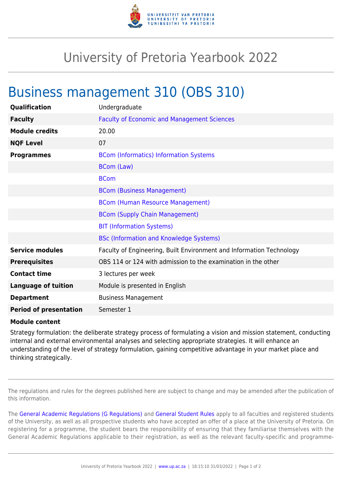

## University of Pretoria Yearbook 2022

## Business management 310 (OBS 310)

| Qualification                 | Undergraduate                                                        |
|-------------------------------|----------------------------------------------------------------------|
| <b>Faculty</b>                | <b>Faculty of Economic and Management Sciences</b>                   |
| <b>Module credits</b>         | 20.00                                                                |
| <b>NQF Level</b>              | 07                                                                   |
| <b>Programmes</b>             | <b>BCom (Informatics) Information Systems</b>                        |
|                               | <b>BCom (Law)</b>                                                    |
|                               | <b>BCom</b>                                                          |
|                               | <b>BCom (Business Management)</b>                                    |
|                               | <b>BCom (Human Resource Management)</b>                              |
|                               | <b>BCom (Supply Chain Management)</b>                                |
|                               | <b>BIT (Information Systems)</b>                                     |
|                               | <b>BSc (Information and Knowledge Systems)</b>                       |
| <b>Service modules</b>        | Faculty of Engineering, Built Environment and Information Technology |
| <b>Prerequisites</b>          | OBS 114 or 124 with admission to the examination in the other        |
| <b>Contact time</b>           | 3 lectures per week                                                  |
| <b>Language of tuition</b>    | Module is presented in English                                       |
| <b>Department</b>             | <b>Business Management</b>                                           |
| <b>Period of presentation</b> | Semester 1                                                           |

## **Module content**

Strategy formulation: the deliberate strategy process of formulating a vision and mission statement, conducting internal and external environmental analyses and selecting appropriate strategies. It will enhance an understanding of the level of strategy formulation, gaining competitive advantage in your market place and thinking strategically.

The regulations and rules for the degrees published here are subject to change and may be amended after the publication of this information.

The [General Academic Regulations \(G Regulations\)](https://www.up.ac.za/yearbooks/2022/rules/view/REG) and [General Student Rules](https://www.up.ac.za/yearbooks/2022/rules/view/RUL) apply to all faculties and registered students of the University, as well as all prospective students who have accepted an offer of a place at the University of Pretoria. On registering for a programme, the student bears the responsibility of ensuring that they familiarise themselves with the General Academic Regulations applicable to their registration, as well as the relevant faculty-specific and programme-